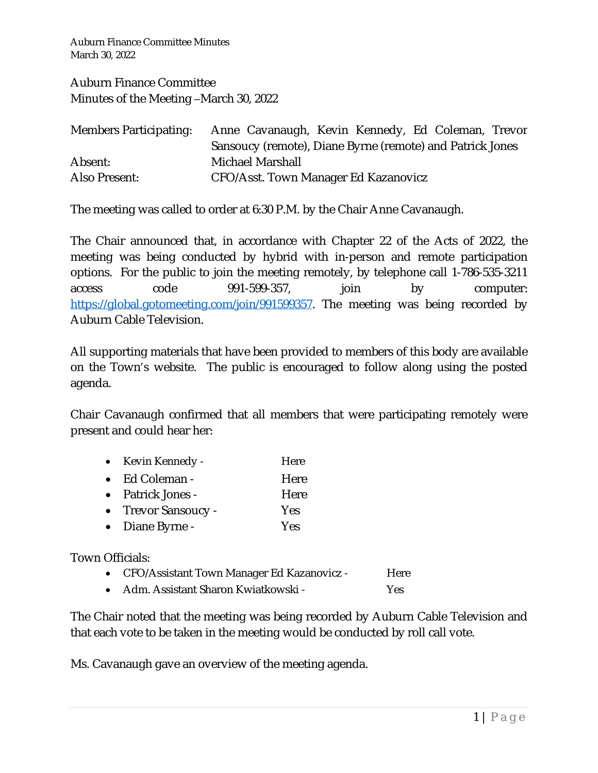Auburn Finance Committee Minutes March 30, 2022

Auburn Finance Committee Minutes of the Meeting –March 30, 2022

| <b>Members Participating:</b> | Anne Cavanaugh, Kevin Kennedy, Ed Coleman, Trevor         |
|-------------------------------|-----------------------------------------------------------|
|                               | Sansoucy (remote), Diane Byrne (remote) and Patrick Jones |
| Absent:                       | Michael Marshall                                          |
| Also Present:                 | CFO/Asst. Town Manager Ed Kazanovicz                      |

The meeting was called to order at 6:30 P.M. by the Chair Anne Cavanaugh.

The Chair announced that, in accordance with Chapter 22 of the Acts of 2022, the meeting was being conducted by hybrid with in-person and remote participation options. For the public to join the meeting remotely, by telephone call 1-786-535-3211 access code 991-599-357, join by computer: <https://global.gotomeeting.com/join/991599357>. The meeting was being recorded by Auburn Cable Television.

All supporting materials that have been provided to members of this body are available on the Town's website. The public is encouraged to follow along using the posted agenda.

Chair Cavanaugh confirmed that all members that were participating remotely were present and could hear her:

| Kevin Kennedy -        | Here |
|------------------------|------|
| $\bullet$ Ed Coleman - | Here |
| • Patrick Jones -      | Here |
| • Trevor Sansoucy -    | Yes  |
| • Diane Byrne -        | Yes  |

Town Officials:

- CFO/Assistant Town Manager Ed Kazanovicz Here
- Adm. Assistant Sharon Kwiatkowski Yes

The Chair noted that the meeting was being recorded by Auburn Cable Television and that each vote to be taken in the meeting would be conducted by roll call vote.

Ms. Cavanaugh gave an overview of the meeting agenda.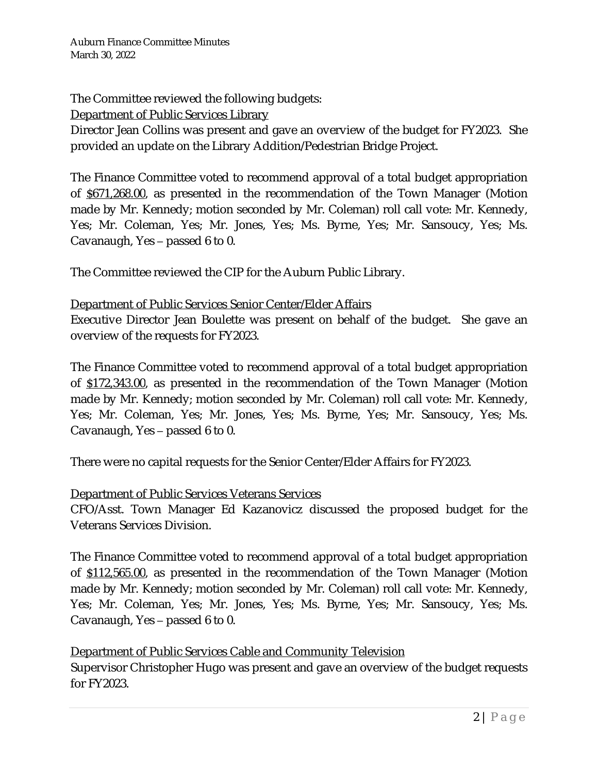The Committee reviewed the following budgets:

Department of Public Services Library

Director Jean Collins was present and gave an overview of the budget for FY2023. She provided an update on the Library Addition/Pedestrian Bridge Project.

The Finance Committee voted to recommend approval of a total budget appropriation of \$671,268.00, as presented in the recommendation of the Town Manager (Motion made by Mr. Kennedy; motion seconded by Mr. Coleman) roll call vote: Mr. Kennedy, Yes; Mr. Coleman, Yes; Mr. Jones, Yes; Ms. Byrne, Yes; Mr. Sansoucy, Yes; Ms. Cavanaugh, Yes – passed 6 to 0.

The Committee reviewed the CIP for the Auburn Public Library.

# Department of Public Services Senior Center/Elder Affairs

Executive Director Jean Boulette was present on behalf of the budget. She gave an overview of the requests for FY2023.

The Finance Committee voted to recommend approval of a total budget appropriation of \$172,343.00, as presented in the recommendation of the Town Manager (Motion made by Mr. Kennedy; motion seconded by Mr. Coleman) roll call vote: Mr. Kennedy, Yes; Mr. Coleman, Yes; Mr. Jones, Yes; Ms. Byrne, Yes; Mr. Sansoucy, Yes; Ms. Cavanaugh, Yes – passed 6 to 0.

There were no capital requests for the Senior Center/Elder Affairs for FY2023.

# Department of Public Services Veterans Services

CFO/Asst. Town Manager Ed Kazanovicz discussed the proposed budget for the Veterans Services Division.

The Finance Committee voted to recommend approval of a total budget appropriation of \$112,565.00, as presented in the recommendation of the Town Manager (Motion made by Mr. Kennedy; motion seconded by Mr. Coleman) roll call vote: Mr. Kennedy, Yes; Mr. Coleman, Yes; Mr. Jones, Yes; Ms. Byrne, Yes; Mr. Sansoucy, Yes; Ms. Cavanaugh, Yes – passed 6 to 0.

### Department of Public Services Cable and Community Television

Supervisor Christopher Hugo was present and gave an overview of the budget requests for FY2023.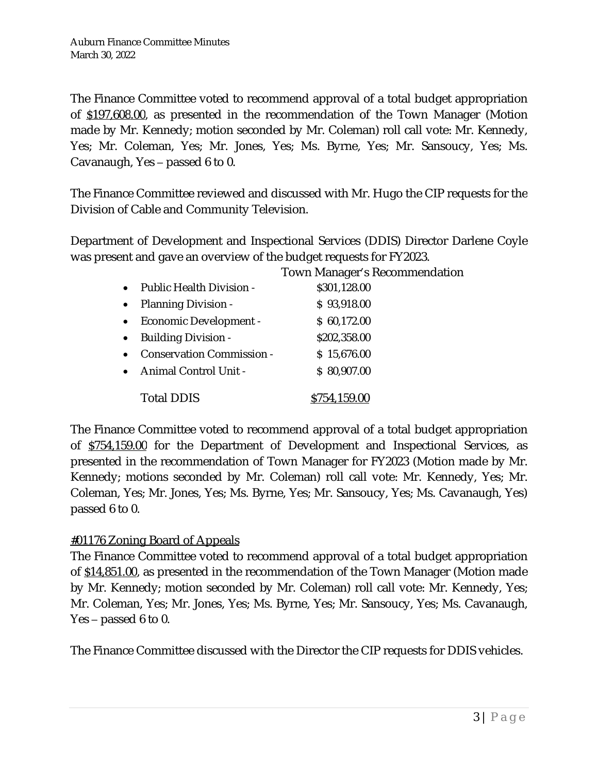The Finance Committee voted to recommend approval of a total budget appropriation of \$197,608.00, as presented in the recommendation of the Town Manager (Motion made by Mr. Kennedy; motion seconded by Mr. Coleman) roll call vote: Mr. Kennedy, Yes; Mr. Coleman, Yes; Mr. Jones, Yes; Ms. Byrne, Yes; Mr. Sansoucy, Yes; Ms. Cavanaugh, Yes – passed 6 to 0.

The Finance Committee reviewed and discussed with Mr. Hugo the CIP requests for the Division of Cable and Community Television.

Department of Development and Inspectional Services (DDIS) Director Darlene Coyle was present and gave an overview of the budget requests for FY2023.

|           |                                  | Town Manager's Recommendation |
|-----------|----------------------------------|-------------------------------|
|           | • Public Health Division -       | \$301,128.00                  |
|           | • Planning Division -            | \$93,918.00                   |
|           | • Economic Development -         | \$60,172.00                   |
|           | • Building Division -            | \$202,358.00                  |
| $\bullet$ | <b>Conservation Commission -</b> | \$15,676.00                   |
|           | • Animal Control Unit -          | \$80,907.00                   |
|           | <b>Total DDIS</b>                | \$754,159.00                  |

The Finance Committee voted to recommend approval of a total budget appropriation of \$754,159.00 for the Department of Development and Inspectional Services, as presented in the recommendation of Town Manager for FY2023 (Motion made by Mr. Kennedy; motions seconded by Mr. Coleman) roll call vote: Mr. Kennedy, Yes; Mr. Coleman, Yes; Mr. Jones, Yes; Ms. Byrne, Yes; Mr. Sansoucy, Yes; Ms. Cavanaugh, Yes) passed 6 to 0.

# #01176 Zoning Board of Appeals

The Finance Committee voted to recommend approval of a total budget appropriation of \$14,851.00, as presented in the recommendation of the Town Manager (Motion made by Mr. Kennedy; motion seconded by Mr. Coleman) roll call vote: Mr. Kennedy, Yes; Mr. Coleman, Yes; Mr. Jones, Yes; Ms. Byrne, Yes; Mr. Sansoucy, Yes; Ms. Cavanaugh, Yes – passed 6 to 0.

The Finance Committee discussed with the Director the CIP requests for DDIS vehicles.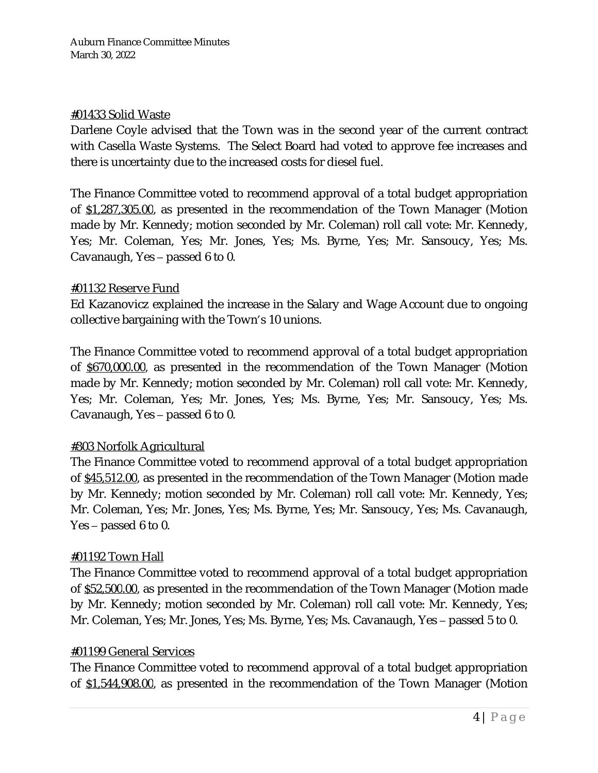### #01433 Solid Waste

Darlene Coyle advised that the Town was in the second year of the current contract with Casella Waste Systems. The Select Board had voted to approve fee increases and there is uncertainty due to the increased costs for diesel fuel.

The Finance Committee voted to recommend approval of a total budget appropriation of \$1,287,305.00, as presented in the recommendation of the Town Manager (Motion made by Mr. Kennedy; motion seconded by Mr. Coleman) roll call vote: Mr. Kennedy, Yes; Mr. Coleman, Yes; Mr. Jones, Yes; Ms. Byrne, Yes; Mr. Sansoucy, Yes; Ms. Cavanaugh, Yes – passed 6 to 0.

### #01132 Reserve Fund

Ed Kazanovicz explained the increase in the Salary and Wage Account due to ongoing collective bargaining with the Town's 10 unions.

The Finance Committee voted to recommend approval of a total budget appropriation of \$670,000.00, as presented in the recommendation of the Town Manager (Motion made by Mr. Kennedy; motion seconded by Mr. Coleman) roll call vote: Mr. Kennedy, Yes; Mr. Coleman, Yes; Mr. Jones, Yes; Ms. Byrne, Yes; Mr. Sansoucy, Yes; Ms. Cavanaugh, Yes – passed 6 to 0.

# #303 Norfolk Agricultural

The Finance Committee voted to recommend approval of a total budget appropriation of \$45,512.00, as presented in the recommendation of the Town Manager (Motion made by Mr. Kennedy; motion seconded by Mr. Coleman) roll call vote: Mr. Kennedy, Yes; Mr. Coleman, Yes; Mr. Jones, Yes; Ms. Byrne, Yes; Mr. Sansoucy, Yes; Ms. Cavanaugh, Yes – passed 6 to 0.

### #01192 Town Hall

The Finance Committee voted to recommend approval of a total budget appropriation of \$52,500.00, as presented in the recommendation of the Town Manager (Motion made by Mr. Kennedy; motion seconded by Mr. Coleman) roll call vote: Mr. Kennedy, Yes; Mr. Coleman, Yes; Mr. Jones, Yes; Ms. Byrne, Yes; Ms. Cavanaugh, Yes – passed 5 to 0.

### #01199 General Services

The Finance Committee voted to recommend approval of a total budget appropriation of \$1,544,908.00, as presented in the recommendation of the Town Manager (Motion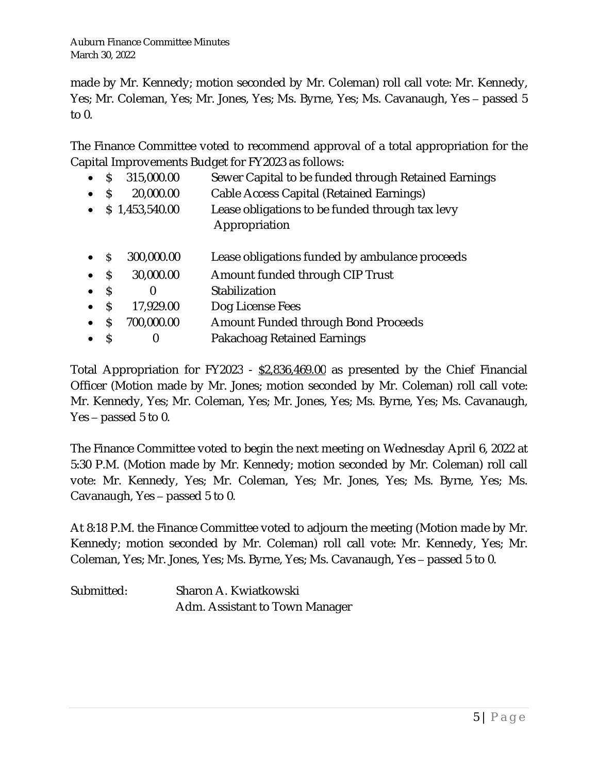made by Mr. Kennedy; motion seconded by Mr. Coleman) roll call vote: Mr. Kennedy, Yes; Mr. Coleman, Yes; Mr. Jones, Yes; Ms. Byrne, Yes; Ms. Cavanaugh, Yes – passed 5 to 0.

The Finance Committee voted to recommend approval of a total appropriation for the Capital Improvements Budget for FY2023 as follows:

- S 315,000.00 Sewer Capital to be funded through Retained Earnings
- \$ 20,000.00 Cable Access Capital (Retained Earnings)
- \$ 1,453,540.00 Lease obligations to be funded through tax levy Appropriation
- \$ 300,000.00 Lease obligations funded by ambulance proceeds
- \$ 30,000.00 Amount funded through CIP Trust
- \$ 0 Stabilization
- S 17,929.00 Dog License Fees
- \$ 700,000.00 Amount Funded through Bond Proceeds
- \$ 0 Pakachoag Retained Earnings

Total Appropriation for FY2023 - \$2,836,469.00 as presented by the Chief Financial Officer (Motion made by Mr. Jones; motion seconded by Mr. Coleman) roll call vote: Mr. Kennedy, Yes; Mr. Coleman, Yes; Mr. Jones, Yes; Ms. Byrne, Yes; Ms. Cavanaugh, Yes – passed 5 to 0.

The Finance Committee voted to begin the next meeting on Wednesday April 6, 2022 at 5:30 P.M. (Motion made by Mr. Kennedy; motion seconded by Mr. Coleman) roll call vote: Mr. Kennedy, Yes; Mr. Coleman, Yes; Mr. Jones, Yes; Ms. Byrne, Yes; Ms. Cavanaugh, Yes – passed 5 to 0.

At 8:18 P.M. the Finance Committee voted to adjourn the meeting (Motion made by Mr. Kennedy; motion seconded by Mr. Coleman) roll call vote: Mr. Kennedy, Yes; Mr. Coleman, Yes; Mr. Jones, Yes; Ms. Byrne, Yes; Ms. Cavanaugh, Yes – passed 5 to 0.

Submitted: Sharon A. Kwiatkowski Adm. Assistant to Town Manager